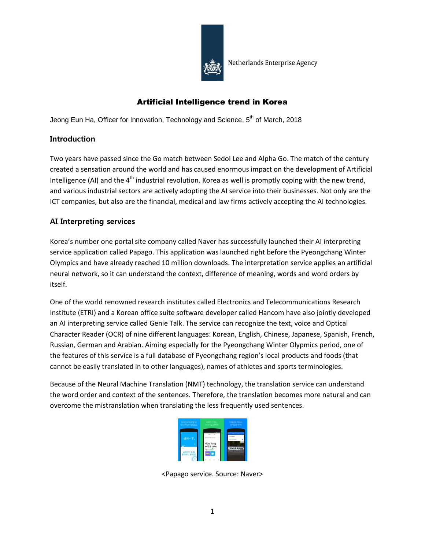

## Artificial Intelligence trend in Korea

Jeong Eun Ha, Officer for Innovation, Technology and Science,  $5<sup>th</sup>$  of March, 2018

## Introduction

Two years have passed since the Go match between Sedol Lee and Alpha Go. The match of the century created a sensation around the world and has caused enormous impact on the development of Artificial Intelligence (AI) and the  $4<sup>th</sup>$  industrial revolution. Korea as well is promptly coping with the new trend, and various industrial sectors are actively adopting the AI service into their businesses. Not only are the ICT companies, but also are the financial, medical and law firms actively accepting the AI technologies.

# AI Interpreting services

Korea's number one portal site company called Naver has successfully launched their AI interpreting service application called Papago. This application was launched right before the Pyeongchang Winter Olympics and have already reached 10 million downloads. The interpretation service applies an artificial neural network, so it can understand the context, difference of meaning, words and word orders by itself.

One of the world renowned research institutes called Electronics and Telecommunications Research Institute (ETRI) and a Korean office suite software developer called Hancom have also jointly developed an AI interpreting service called Genie Talk. The service can recognize the text, voice and Optical Character Reader (OCR) of nine different languages: Korean, English, Chinese, Japanese, Spanish, French, Russian, German and Arabian. Aiming especially for the Pyeongchang Winter Olypmics period, one of the features of this service is a full database of Pyeongchang region's local products and foods (that cannot be easily translated in to other languages), names of athletes and sports terminologies.

Because of the Neural Machine Translation (NMT) technology, the translation service can understand the word order and context of the sentences. Therefore, the translation becomes more natural and can overcome the mistranslation when translating the less frequently used sentences.



<Papago service. Source: Naver>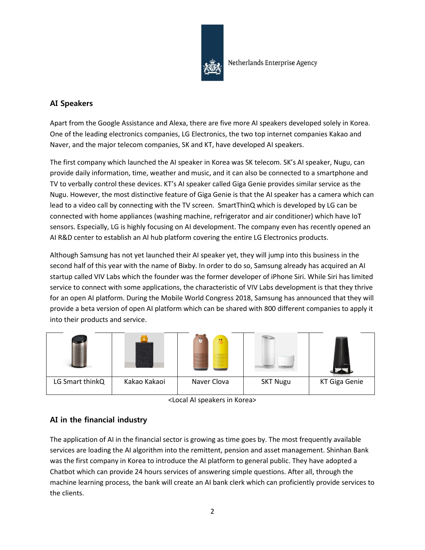

# AI Speakers

Apart from the Google Assistance and Alexa, there are five more AI speakers developed solely in Korea. One of the leading electronics companies, LG Electronics, the two top internet companies Kakao and Naver, and the major telecom companies, SK and KT, have developed AI speakers.

The first company which launched the AI speaker in Korea was SK telecom. SK's AI speaker, Nugu, can provide daily information, time, weather and music, and it can also be connected to a smartphone and TV to verbally control these devices. KT's AI speaker called Giga Genie provides similar service as the Nugu. However, the most distinctive feature of Giga Genie is that the AI speaker has a camera which can lead to a video call by connecting with the TV screen. SmartThinQ which is developed by LG can be connected with home appliances (washing machine, refrigerator and air conditioner) which have IoT sensors. Especially, LG is highly focusing on AI development. The company even has recently opened an AI R&D center to establish an AI hub platform covering the entire LG Electronics products.

Although Samsung has not yet launched their AI speaker yet, they will jump into this business in the second half of this year with the name of Bixby. In order to do so, Samsung already has acquired an AI startup called VIV Labs which the founder was the former developer of iPhone Siri. While Siri has limited service to connect with some applications, the characteristic of VIV Labs development is that they thrive for an open AI platform. During the Mobile World Congress 2018, Samsung has announced that they will provide a beta version of open AI platform which can be shared with 800 different companies to apply it into their products and service.

|                 |              | $\bullet$<br>▓<br><b>CONTRACTOR</b> | 111111000000000 |               |
|-----------------|--------------|-------------------------------------|-----------------|---------------|
| LG Smart thinkQ | Kakao Kakaoi | Naver Clova                         | <b>SKT Nugu</b> | KT Giga Genie |

<sup>&</sup>lt;Local AI speakers in Korea>

# AI in the financial industry

The application of AI in the financial sector is growing as time goes by. The most frequently available services are loading the AI algorithm into the remittent, pension and asset management. Shinhan Bank was the first company in Korea to introduce the AI platform to general public. They have adopted a Chatbot which can provide 24 hours services of answering simple questions. After all, through the machine learning process, the bank will create an AI bank clerk which can proficiently provide services to the clients.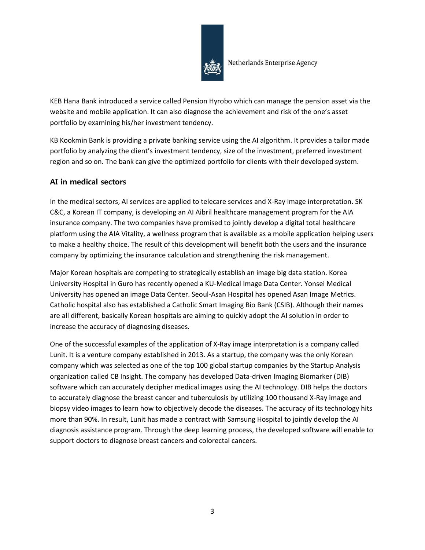

KEB Hana Bank introduced a service called Pension Hyrobo which can manage the pension asset via the website and mobile application. It can also diagnose the achievement and risk of the one's asset portfolio by examining his/her investment tendency.

KB Kookmin Bank is providing a private banking service using the AI algorithm. It provides a tailor made portfolio by analyzing the client's investment tendency, size of the investment, preferred investment region and so on. The bank can give the optimized portfolio for clients with their developed system.

## AI in medical sectors

In the medical sectors, AI services are applied to telecare services and X-Ray image interpretation. SK C&C, a Korean IT company, is developing an AI Aibril healthcare management program for the AIA insurance company. The two companies have promised to jointly develop a digital total healthcare platform using the AIA Vitality, a wellness program that is available as a mobile application helping users to make a healthy choice. The result of this development will benefit both the users and the insurance company by optimizing the insurance calculation and strengthening the risk management.

Major Korean hospitals are competing to strategically establish an image big data station. Korea University Hospital in Guro has recently opened a KU-Medical Image Data Center. Yonsei Medical University has opened an image Data Center. Seoul-Asan Hospital has opened Asan Image Metrics. Catholic hospital also has established a Catholic Smart Imaging Bio Bank (CSIB). Although their names are all different, basically Korean hospitals are aiming to quickly adopt the AI solution in order to increase the accuracy of diagnosing diseases.

One of the successful examples of the application of X-Ray image interpretation is a company called Lunit. It is a venture company established in 2013. As a startup, the company was the only Korean company which was selected as one of the top 100 global startup companies by the Startup Analysis organization called CB Insight. The company has developed Data-driven Imaging Biomarker (DIB) software which can accurately decipher medical images using the AI technology. DIB helps the doctors to accurately diagnose the breast cancer and tuberculosis by utilizing 100 thousand X-Ray image and biopsy video images to learn how to objectively decode the diseases. The accuracy of its technology hits more than 90%. In result, Lunit has made a contract with Samsung Hospital to jointly develop the AI diagnosis assistance program. Through the deep learning process, the developed software will enable to support doctors to diagnose breast cancers and colorectal cancers.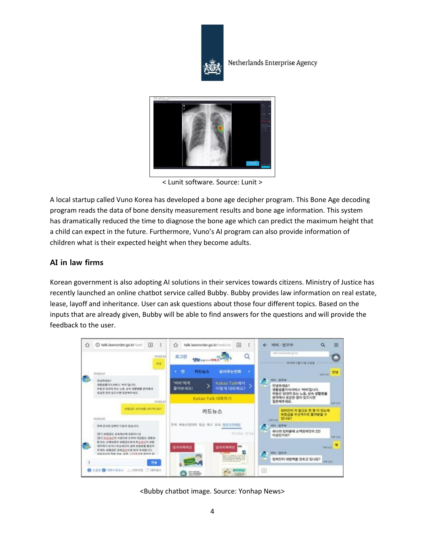



< Lunit software. Source: Lunit >

A local startup called Vuno Korea has developed a bone age decipher program. This Bone Age decoding program reads the data of bone density measurement results and bone age information. This system has dramatically reduced the time to diagnose the bone age which can predict the maximum height that a child can expect in the future. Furthermore, Vuno's AI program can also provide information of children what is their expected height when they become adults.

### AI in law firms

Korean government is also adopting AI solutions in their services towards citizens. Ministry of Justice has recently launched an online chatbot service called Bubby. Bubby provides law information on real estate, lease, layoff and inheritance. User can ask questions about those four different topics. Based on the inputs that are already given, Bubby will be able to find answers for the questions and will provide the feedback to the user.



<Bubby chatbot image. Source: Yonhap News>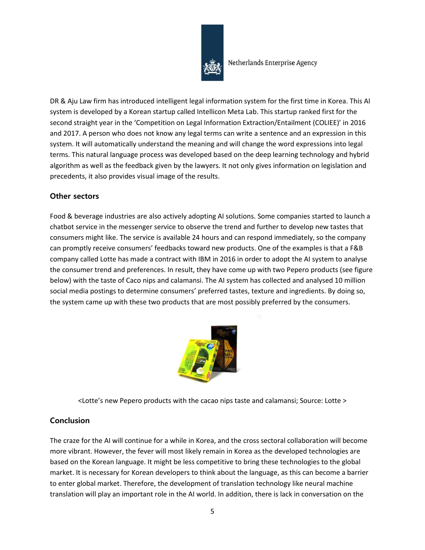

DR & Aju Law firm has introduced intelligent legal information system for the first time in Korea. This AI system is developed by a Korean startup called Intellicon Meta Lab. This startup ranked first for the second straight year in the 'Competition on Legal Information Extraction/Entailment (COLIEE)' in 2016 and 2017. A person who does not know any legal terms can write a sentence and an expression in this system. It will automatically understand the meaning and will change the word expressions into legal terms. This natural language process was developed based on the deep learning technology and hybrid algorithm as well as the feedback given by the lawyers. It not only gives information on legislation and precedents, it also provides visual image of the results.

### Other sectors

Food & beverage industries are also actively adopting AI solutions. Some companies started to launch a chatbot service in the messenger service to observe the trend and further to develop new tastes that consumers might like. The service is available 24 hours and can respond immediately, so the company can promptly receive consumers' feedbacks toward new products. One of the examples is that a F&B company called Lotte has made a contract with IBM in 2016 in order to adopt the AI system to analyse the consumer trend and preferences. In result, they have come up with two Pepero products (see figure below) with the taste of Caco nips and calamansi. The AI system has collected and analysed 10 million social media postings to determine consumers' preferred tastes, texture and ingredients. By doing so, the system came up with these two products that are most possibly preferred by the consumers.



<Lotte's new Pepero products with the cacao nips taste and calamansi; Source: Lotte >

## Conclusion

The craze for the AI will continue for a while in Korea, and the cross sectoral collaboration will become more vibrant. However, the fever will most likely remain in Korea as the developed technologies are based on the Korean language. It might be less competitive to bring these technologies to the global market. It is necessary for Korean developers to think about the language, as this can become a barrier to enter global market. Therefore, the development of translation technology like neural machine translation will play an important role in the AI world. In addition, there is lack in conversation on the